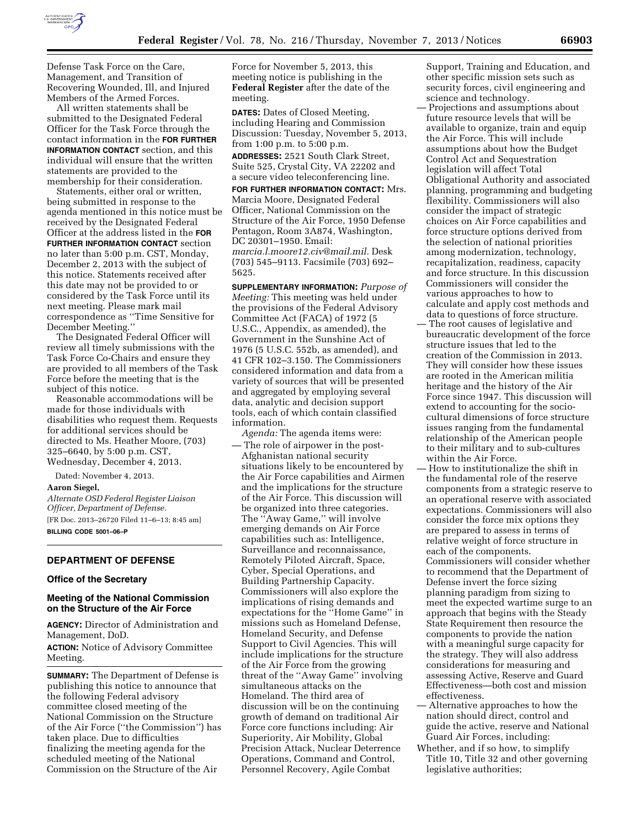

Defense Task Force on the Care, Management, and Transition of Recovering Wounded, Ill, and Injured Members of the Armed Forces.

All written statements shall be submitted to the Designated Federal Officer for the Task Force through the contact information in the **FOR FURTHER INFORMATION CONTACT** section, and this individual will ensure that the written statements are provided to the membership for their consideration.

Statements, either oral or written, being submitted in response to the agenda mentioned in this notice must be received by the Designated Federal Officer at the address listed in the **FOR FURTHER INFORMATION CONTACT** section no later than 5:00 p.m. CST, Monday, December 2, 2013 with the subject of this notice. Statements received after this date may not be provided to or considered by the Task Force until its next meeting. Please mark mail correspondence as ''Time Sensitive for December Meeting.''

The Designated Federal Officer will review all timely submissions with the Task Force Co-Chairs and ensure they are provided to all members of the Task Force before the meeting that is the subject of this notice.

Reasonable accommodations will be made for those individuals with disabilities who request them. Requests for additional services should be directed to Ms. Heather Moore, (703) 325–6640, by 5:00 p.m. CST, Wednesday, December 4, 2013.

Dated: November 4, 2013.

# **Aaron Siegel,**

*Alternate OSD Federal Register Liaison Officer, Department of Defense.*  [FR Doc. 2013–26720 Filed 11–6–13; 8:45 am] **BILLING CODE 5001–06–P** 

# **DEPARTMENT OF DEFENSE**

#### **Office of the Secretary**

### **Meeting of the National Commission on the Structure of the Air Force**

**AGENCY:** Director of Administration and Management, DoD.

**ACTION:** Notice of Advisory Committee Meeting.

**SUMMARY:** The Department of Defense is publishing this notice to announce that the following Federal advisory committee closed meeting of the National Commission on the Structure of the Air Force (''the Commission'') has taken place. Due to difficulties finalizing the meeting agenda for the scheduled meeting of the National Commission on the Structure of the Air

Force for November 5, 2013, this meeting notice is publishing in the **Federal Register** after the date of the meeting.

**DATES:** Dates of Closed Meeting, including Hearing and Commission Discussion: Tuesday, November 5, 2013, from 1:00 p.m. to 5:00 p.m.

**ADDRESSES:** 2521 South Clark Street, Suite 525, Crystal City, VA 22202 and a secure video teleconferencing line.

**FOR FURTHER INFORMATION CONTACT:** Mrs. Marcia Moore, Designated Federal Officer, National Commission on the Structure of the Air Force, 1950 Defense Pentagon, Room 3A874, Washington, DC 20301–1950. Email: *[marcia.l.moore12.civ@mail.mil.](mailto:marcia.l.moore12.civ@mail.mil)* Desk

(703) 545–9113. Facsimile (703) 692– 5625.

**SUPPLEMENTARY INFORMATION:** *Purpose of Meeting:* This meeting was held under the provisions of the Federal Advisory Committee Act (FACA) of 1972 (5 U.S.C., Appendix, as amended), the Government in the Sunshine Act of 1976 (5 U.S.C. 552b, as amended), and 41 CFR 102–3.150. The Commissioners considered information and data from a variety of sources that will be presented and aggregated by employing several data, analytic and decision support tools, each of which contain classified information.

*Agenda:* The agenda items were:

— The role of airpower in the post-Afghanistan national security situations likely to be encountered by the Air Force capabilities and Airmen and the implications for the structure of the Air Force. This discussion will be organized into three categories. The ''Away Game,'' will involve emerging demands on Air Force capabilities such as: Intelligence, Surveillance and reconnaissance, Remotely Piloted Aircraft, Space, Cyber, Special Operations, and Building Partnership Capacity. Commissioners will also explore the implications of rising demands and expectations for the ''Home Game'' in missions such as Homeland Defense, Homeland Security, and Defense Support to Civil Agencies. This will include implications for the structure of the Air Force from the growing threat of the ''Away Game'' involving simultaneous attacks on the Homeland. The third area of discussion will be on the continuing growth of demand on traditional Air Force core functions including: Air Superiority, Air Mobility, Global Precision Attack, Nuclear Deterrence Operations, Command and Control, Personnel Recovery, Agile Combat

Support, Training and Education, and other specific mission sets such as security forces, civil engineering and science and technology.

— Projections and assumptions about future resource levels that will be available to organize, train and equip the Air Force. This will include assumptions about how the Budget Control Act and Sequestration legislation will affect Total Obligational Authority and associated planning, programming and budgeting flexibility. Commissioners will also consider the impact of strategic choices on Air Force capabilities and force structure options derived from the selection of national priorities among modernization, technology, recapitalization, readiness, capacity and force structure. In this discussion Commissioners will consider the various approaches to how to calculate and apply cost methods and data to questions of force structure.

- The root causes of legislative and bureaucratic development of the force structure issues that led to the creation of the Commission in 2013. They will consider how these issues are rooted in the American militia heritage and the history of the Air Force since 1947. This discussion will extend to accounting for the sociocultural dimensions of force structure issues ranging from the fundamental relationship of the American people to their military and to sub-cultures within the Air Force.
- How to institutionalize the shift in the fundamental role of the reserve components from a strategic reserve to an operational reserve with associated expectations. Commissioners will also consider the force mix options they are prepared to assess in terms of relative weight of force structure in each of the components. Commissioners will consider whether to recommend that the Department of Defense invert the force sizing planning paradigm from sizing to meet the expected wartime surge to an approach that begins with the Steady State Requirement then resource the components to provide the nation with a meaningful surge capacity for the strategy. They will also address considerations for measuring and assessing Active, Reserve and Guard Effectiveness—both cost and mission effectiveness.
- Alternative approaches to how the nation should direct, control and guide the active, reserve and National Guard Air Forces, including:
- Whether, and if so how, to simplify Title 10, Title 32 and other governing legislative authorities;